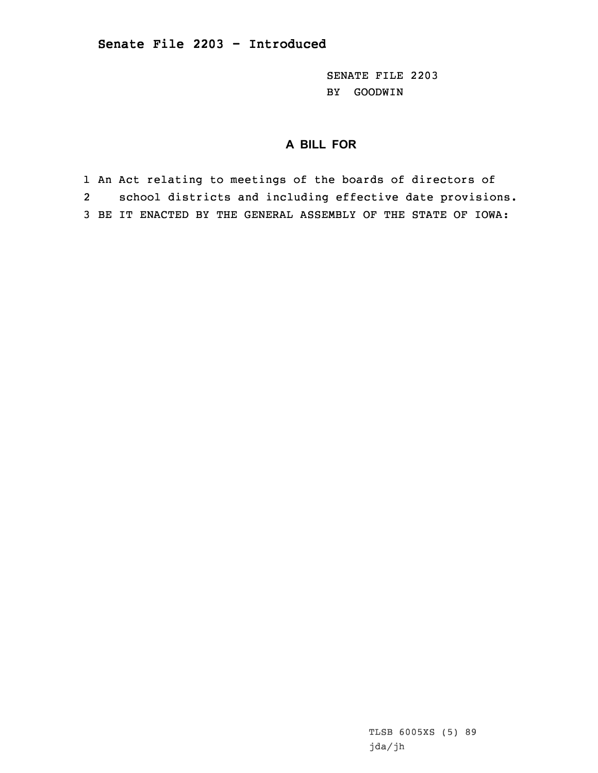SENATE FILE 2203 BY GOODWIN

## **A BILL FOR**

1 An Act relating to meetings of the boards of directors of 2 school districts and including effective date provisions. 3 BE IT ENACTED BY THE GENERAL ASSEMBLY OF THE STATE OF IOWA:

> TLSB 6005XS (5) 89 jda/jh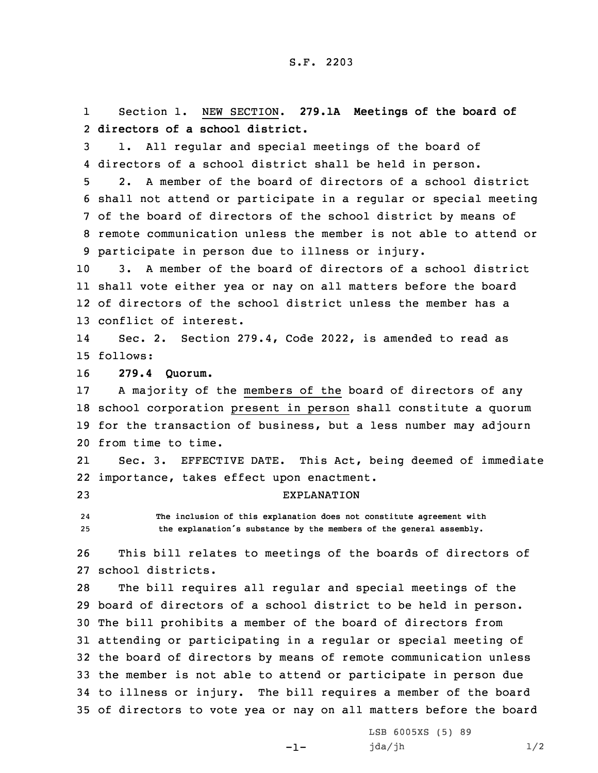1 Section 1. NEW SECTION. **279.1A Meetings of the board of** 2 **directors of a school district.**

3 1. All regular and special meetings of the board of 4 directors of <sup>a</sup> school district shall be held in person.

 2. A member of the board of directors of <sup>a</sup> school district shall not attend or participate in <sup>a</sup> regular or special meeting of the board of directors of the school district by means of remote communication unless the member is not able to attend or participate in person due to illness or injury.

 3. A member of the board of directors of <sup>a</sup> school district shall vote either yea or nay on all matters before the board of directors of the school district unless the member has <sup>a</sup> conflict of interest.

14 Sec. 2. Section 279.4, Code 2022, is amended to read as 15 follows:

16 **279.4 Quorum.**

 <sup>A</sup> majority of the members of the board of directors of any school corporation present in person shall constitute <sup>a</sup> quorum for the transaction of business, but <sup>a</sup> less number may adjourn from time to time.

21 Sec. 3. EFFECTIVE DATE. This Act, being deemed of immediate 22 importance, takes effect upon enactment.

23 EXPLANATION

24 **The inclusion of this explanation does not constitute agreement with** <sup>25</sup> **the explanation's substance by the members of the general assembly.**

26 This bill relates to meetings of the boards of directors of 27 school districts.

 The bill requires all regular and special meetings of the board of directors of <sup>a</sup> school district to be held in person. The bill prohibits <sup>a</sup> member of the board of directors from attending or participating in <sup>a</sup> regular or special meeting of the board of directors by means of remote communication unless the member is not able to attend or participate in person due to illness or injury. The bill requires <sup>a</sup> member of the board of directors to vote yea or nay on all matters before the board

-1-

LSB 6005XS (5) 89 jda/jh 1/2